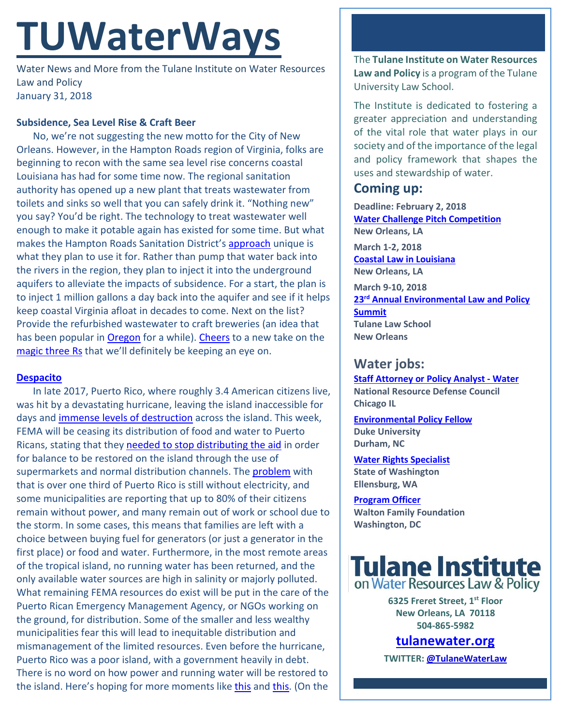# **TUWaterWays**

Water News and More from the Tulane Institute on Water Resources Law and Policy January 31, 2018

#### **Subsidence, Sea Level Rise & Craft Beer**

No, we're not suggesting the new motto for the City of New Orleans. However, in the Hampton Roads region of Virginia, folks are beginning to recon with the same sea level rise concerns coastal Louisiana has had for some time now. The regional sanitation authority has opened up a new plant that treats wastewater from toilets and sinks so well that you can safely drink it. "Nothing new" you say? You'd be right. The technology to treat wastewater well enough to make it potable again has existed for some time. But what makes the Hampton Roads Sanitation District's [approach](https://pilotonline.com/news/local/environment/article_a5fc3267-08c6-5f90-bd41-67b4868de4ed.html) unique is what they plan to use it for. Rather than pump that water back into the rivers in the region, they plan to inject it into the underground aquifers to alleviate the impacts of subsidence. For a start, the plan is to inject 1 million gallons a day back into the aquifer and see if it helps keep coastal Virginia afloat in decades to come. Next on the list? Provide the refurbished wastewater to craft breweries (an idea that has been popular in [Oregon](https://www.cleanwaterservices.org/newsroom/2017/2017-pure-water-brew-competition-winners-turn-former-sewage-to-brewage/) for a while). [Cheers](https://www.youtube.com/watch?v=HPqPAKqzx7M) to a new take on the [magic three Rs](https://www.youtube.com/watch?v=wtoeZ9Nkeqk) that we'll definitely be keeping an eye on.

#### **[Despacito](https://www.cnn.com/videos/tv/2017/09/25/daddy-yankee-new-day.cnn)**

In late 2017, Puerto Rico, where roughly 3.4 American citizens live, was hit by a devastating hurricane, leaving the island inaccessible for days and [immense levels of destruction](https://www.reuters.com/news/picture/puerto-rico-four-months-after-maria-idUSRTS1LNPI) across the island. This week, FEMA will be ceasing its distribution of food and water to Puerto Ricans, stating that they needed to [stop distributing the aid](https://www.npr.org/sections/thetwo-way/2018/01/29/581511023/fema-to-end-food-and-water-aid-for-puerto-rico) in order for balance to be restored on the island through the use of supermarkets and normal distribution channels. Th[e problem](http://www.latimes.com/nation/la-na-puerto-rico-aid-20180130-story.html) with that is over one third of Puerto Rico is still without electricity, and some municipalities are reporting that up to 80% of their citizens remain without power, and many remain out of work or school due to the storm. In some cases, this means that families are left with a choice between buying fuel for generators (or just a generator in the first place) or food and water. Furthermore, in the most remote areas of the tropical island, no running water has been returned, and the only available water sources are high in salinity or majorly polluted. What remaining FEMA resources do exist will be put in the care of the Puerto Rican Emergency Management Agency, or NGOs working on the ground, for distribution. Some of the smaller and less wealthy municipalities fear this will lead to inequitable distribution and mismanagement of the limited resources. Even before the hurricane, Puerto Rico was a poor island, with a government heavily in debt. There is no word on how power and running water will be restored to the island. Here's hoping for more moments like [this](https://www.facebook.com/NowThisNews/videos/1775507499206033/) an[d this.](https://www.npr.org/sections/thetwo-way/2017/12/27/573000699/after-maria-one-of-the-worlds-best-bioluminescent-bays-slowly-begins-to-glow-aga?utm_source=facebook.com&utm_medium=social&utm_campaign=npr&utm_term=nprnews&utm_content=2056) (On the

The **Tulane Institute on Water Resources Law and Policy** is a program of the Tulane University Law School.

The Institute is dedicated to fostering a greater appreciation and understanding of the vital role that water plays in our society and of the importance of the legal and policy framework that shapes the uses and stewardship of water.

## **Coming up:**

**Deadline: February 2, 2018 [Water Challenge Pitch Competition](http://gopropeller.org/pitchnola/water-challenge-2018/) New Orleans, LA**

**March 1-2, 2018 [Coastal Law in Louisiana](https://www.theseminargroup.net/seminardetl.aspx?id=18.ShrnO) New Orleans, LA**

**March 9-10, 2018 23rd [Annual Environmental Law and Policy](https://tulaneenvironmentallawsummit.com/)  [Summit](https://tulaneenvironmentallawsummit.com/) Tulane Law School New Orleans**

### **Water jobs:**

**[Staff Attorney or Policy Analyst -](https://careers-nrdc.icims.com/jobs/3808/staff-attorney-or-policy-analyst---water/job?mode=job&iis=Job%2BBoard&iisn=Indeed&mobile=false&width=970&height=500&bga=true&needsRedirect=false&jan1offset=60&jun1offset=120) Water [National Resource Defense Council](https://careers-nrdc.icims.com/jobs/3808/staff-attorney-or-policy-analyst---water/job?mode=job&iis=Job%2BBoard&iisn=Indeed&mobile=false&width=970&height=500&bga=true&needsRedirect=false&jan1offset=60&jun1offset=120) Chicago IL**

**[Environmental Policy Fellow](https://www.indeed.com/cmp/Duke-Environmental-Law-&-Policy-Clinic/jobs/Environmental-Policy-Fellow-1ad481a7dd992884?q=%22watershed%22) Duke University Durham, NC**

#### **[Water Rights Specialist](https://www.governmentjobs.com/careers/washington/jobs/1958647-0/water-rights-specialist-nrs3)**

**State of Washington Ellensburg, WA**

**[Program Officer](https://www.waltonfamilyfoundation.org/who-we-are/careers/environment-program-officer-mississippi-river) Walton Family Foundation Washington, DC**

# Tulane Institute on Water Resources Law & Policy

**6325 Freret Street, 1st Floor New Orleans, LA 70118 504-865-5982** 

# **tulanewater.org**

**TWITTER[: @TulaneWaterLaw](http://www.twitter.com/TulaneWaterLaw)**